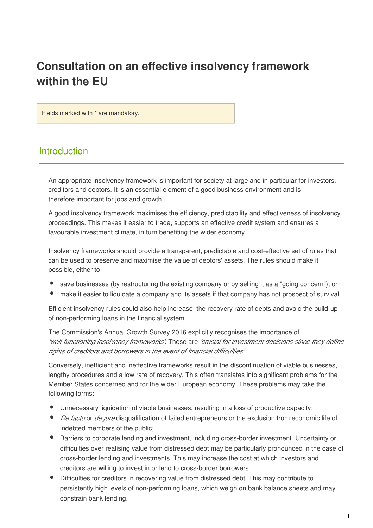# Consultation on an effective insolvency framework within the EU

Fields marked with \* are mandatory.

# **Introduction**

An appropriate insolvency framework is important for society at large and in particular for investors, creditors and debtors. It is an essential element of a good business environment and is therefore important for jobs and growth.

A good insolvency framework maximises the efficiency, predictability and effectiveness of insolvency proceedings. This makes it easier to trade, supports an effective credit system and ensures a favourable investment climate, in turn benefiting the wider economy.

Insolvency frameworks should provide a transparent, predictable and cost-effective set of rules that can be used to preserve and maximise the value of debtors' assets. The rules should make it possible, either to:

- save businesses (by restructuring the existing company or by selling it as a "going concern"); or
- make it easier to liquidate a company and its assets if that company has not prospect of survival.

Efficient insolvency rules could also help increase the recovery rate of debts and avoid the build-up of non-performing loans in the financial system.

The Commission's Annual Growth Survey 2016 explicitly recognises the importance of 'well-functioning insolvency frameworks'. These are 'crucial for investment decisions since they define rights of creditors and borrowers in the event of financial difficulties'.

Conversely, inefficient and ineffective frameworks result in the discontinuation of viable businesses, lengthy procedures and a low rate of recovery. This often translates into significant problems for the Member States concerned and for the wider European economy. These problems may take the following forms:

- Unnecessary liquidation of viable businesses, resulting in a loss of productive capacity;
- De facto or de jure disqualification of failed entrepreneurs or the exclusion from economic life of indebted members of the public;
- Barriers to corporate lending and investment, including cross-border investment. Uncertainty or difficulties over realising value from distressed debt may be particularly pronounced in the case of cross-border lending and investments. This may increase the cost at which investors and creditors are willing to invest in or lend to cross-border borrowers.
- Difficulties for creditors in recovering value from distressed debt. This may contribute to persistently high levels of non-performing loans, which weigh on bank balance sheets and may constrain bank lending.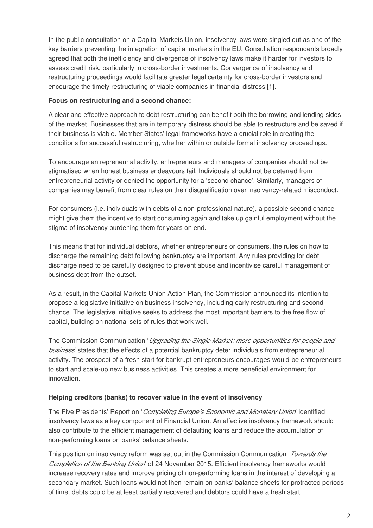In the public consultation on a Capital Markets Union, insolvency laws were singled out as one of the key barriers preventing the integration of capital markets in the EU. Consultation respondents broadly agreed that both the inefficiency and divergence of insolvency laws make it harder for investors to assess credit risk, particularly in cross-border investments. Convergence of insolvency and restructuring proceedings would facilitate greater legal certainty for cross-border investors and encourage the timely restructuring of viable companies in financial distress [1].

# Focus on restructuring and a second chance:

A clear and effective approach to debt restructuring can benefit both the borrowing and lending sides of the market. Businesses that are in temporary distress should be able to restructure and be saved if their business is viable. Member States' legal frameworks have a crucial role in creating the conditions for successful restructuring, whether within or outside formal insolvency proceedings.

To encourage entrepreneurial activity, entrepreneurs and managers of companies should not be stigmatised when honest business endeavours fail. Individuals should not be deterred from entrepreneurial activity or denied the opportunity for a 'second chance'. Similarly, managers of companies may benefit from clear rules on their disqualification over insolvency-related misconduct.

For consumers (i.e. individuals with debts of a non-professional nature), a possible second chance might give them the incentive to start consuming again and take up gainful employment without the stigma of insolvency burdening them for years on end.

This means that for individual debtors, whether entrepreneurs or consumers, the rules on how to discharge the remaining debt following bankruptcy are important. Any rules providing for debt discharge need to be carefully designed to prevent abuse and incentivise careful management of business debt from the outset.

As a result, in the Capital Markets Union Action Plan, the Commission announced its intention to propose a legislative initiative on business insolvency, including early restructuring and second chance. The legislative initiative seeks to address the most important barriers to the free flow of capital, building on national sets of rules that work well.

The Commission Communication 'Upgrading the Single Market: more opportunities for people and business' states that the effects of a potential bankruptcy deter individuals from entrepreneurial activity. The prospect of a fresh start for bankrupt entrepreneurs encourages would-be entrepreneurs to start and scale-up new business activities. This creates a more beneficial environment for innovation.

# Helping creditors (banks) to recover value in the event of insolvency

The Five Presidents' Report on 'Completing Europe's Economic and Monetary Union' identified insolvency laws as a key component of Financial Union. An effective insolvency framework should also contribute to the efficient management of defaulting loans and reduce the accumulation of non-performing loans on banks' balance sheets.

This position on insolvency reform was set out in the Commission Communication 'Towards the Completion of the Banking Uniori of 24 November 2015. Efficient insolvency frameworks would increase recovery rates and improve pricing of non-performing loans in the interest of developing a secondary market. Such loans would not then remain on banks' balance sheets for protracted periods of time, debts could be at least partially recovered and debtors could have a fresh start.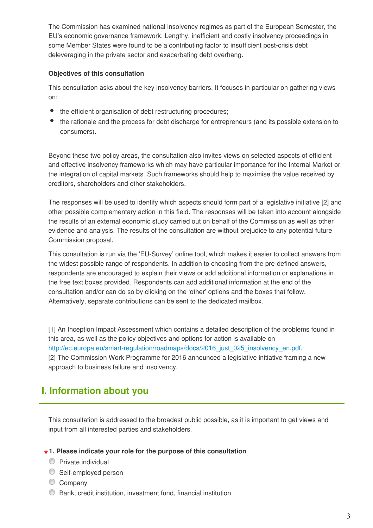The Commission has examined national insolvency regimes as part of the European Semester, the EU's economic governance framework. Lengthy, inefficient and costly insolvency proceedings in some Member States were found to be a contributing factor to insufficient post-crisis debt deleveraging in the private sector and exacerbating debt overhang.

# Objectives of this consultation

This consultation asks about the key insolvency barriers. It focuses in particular on gathering views on:

- $\bullet$ the efficient organisation of debt restructuring procedures;
- the rationale and the process for debt discharge for entrepreneurs (and its possible extension to consumers).

Beyond these two policy areas, the consultation also invites views on selected aspects of efficient and effective insolvency frameworks which may have particular importance for the Internal Market or the integration of capital markets. Such frameworks should help to maximise the value received by creditors, shareholders and other stakeholders.

The responses will be used to identify which aspects should form part of a legislative initiative [2] and other possible complementary action in this field. The responses will be taken into account alongside the results of an external economic study carried out on behalf of the Commission as well as other evidence and analysis. The results of the consultation are without prejudice to any potential future Commission proposal.

This consultation is run via the 'EU-Survey' online tool, which makes it easier to collect answers from the widest possible range of respondents. In addition to choosing from the pre-defined answers, respondents are encouraged to explain their views or add additional information or explanations in the free text boxes provided. Respondents can add additional information at the end of the consultation and/or can do so by clicking on the 'other' options and the boxes that follow. Alternatively, separate contributions can be sent to the dedicated mailbox.

[1] An Inception Impact Assessment which contains a detailed description of the problems found in this area, as well as the policy objectives and options for action is available on http://ec.europa.eu/smart-regulation/roadmaps/docs/2016\_just\_025\_insolvency\_en.pdf. [2] The Commission Work Programme for 2016 announced a legislative initiative framing a new approach to business failure and insolvency.

# I. Information about you

This consultation is addressed to the broadest public possible, as it is important to get views and input from all interested parties and stakeholders.

# $\star$  1. Please indicate your role for the purpose of this consultation

- **Private individual**
- Self-employed person
- Company
- Bank, credit institution, investment fund, financial institution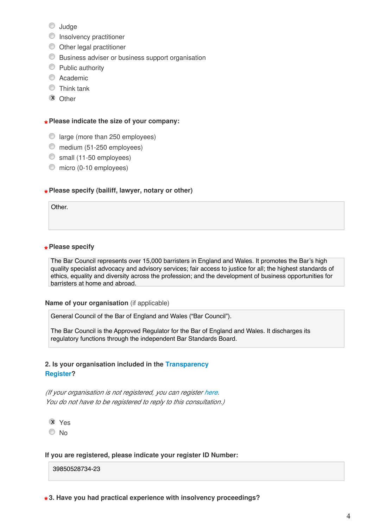- **Judge**
- **Insolvency practitioner**
- $\bullet$  Other legal practitioner
- Business adviser or business support organisation
- **Public authority**
- C Academic
- **O** Think tank
- **X** Other

# $\star$  Please indicate the size of your company:

- $\circledcirc$  large (more than 250 employees)
- medium (51-250 employees)
- small (11-50 employees)
- $\bullet$  micro (0-10 employees)

# $\star$  Please specify (bailiff, lawyer, notary or other)

Other.

# $\star$  Please specify

The Bar Council represents over 15,000 barristers in England and Wales. It promotes the Bar's high quality specialist advocacy and advisory services; fair access to justice for all; the highest standards of ethics, equality and diversity across the profession; and the development of business opportunities for barristers at home and abroad.

#### Name of your organisation (if applicable)

General Council of the Bar of England and Wales ("Bar Council").

The Bar Council is the Approved Regulator for the Bar of England and Wales. It discharges its regulatory functions through the independent Bar Standards Board.

## 2. Is your organisation included in the Transparency Register?

(If your organisation is not registered, you can register here. You do not have to be registered to reply to this consultation.)

Yes x

<sup>O</sup>No

#### If you are registered, please indicate your register ID Number:

39850528734-23

 $\star$  3. Have you had practical experience with insolvency proceedings?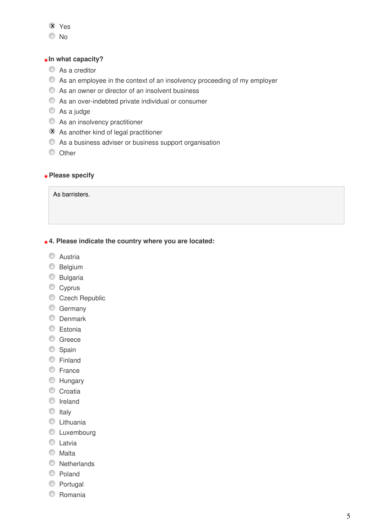# Yes x

 $\odot$  No

# <sub>\*</sub> In what capacity?

- Αs a creditor
- Αs an employee in the context of an insolvency proceeding of my employer
- Αs an owner or director of an insolvent business
- Αs an over-indebted private individual or consumer
- Αs a judge
- Αs an insolvency practitioner
- **X** As another kind of legal practitioner
- Αs a business adviser or business support organisation
- O Other

# $\star$  Please specify

As barristers.

# $\star$  4. Please indicate the country where you are located:

- C Austria
- **Belgium**
- **Bulgaria**
- Cyprus
- Czech Republic
- **Germany**
- **C** Denmark
- **Estonia**
- C Greece
- Spain
- **Einland**
- C France
- **EXT** Hungary
- Croatia
- **O** Ireland
- $\circ$  Italy
- **C** Lithuania
- **C** Luxembourg
- **C** Latvia
- **Malta**
- **Netherlands**
- C Poland
- **Portugal**
- C Romania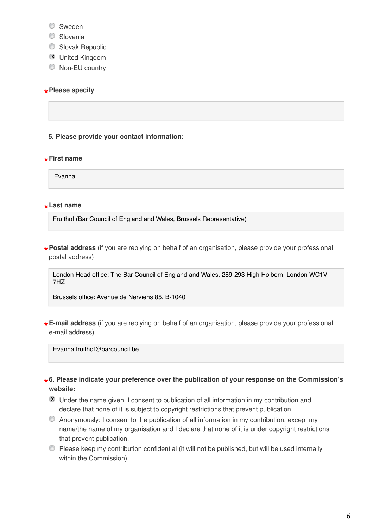- C Sweden
- Slovenia
- Slovak Republic
- **X** United Kingdom
- $\bullet$  Non-EU country

# $\star$  Please specify

# 5. Please provide your contact information:

# $\star$  First name

Evanna

# \*Last name

Fruithof (Bar Council of England and Wales, Brussels Representative)

\*Postal address (if you are replying on behalf of an organisation, please provide your professional \* postal address)

London Head office: The Bar Council of England and Wales, 289-293 High Holborn, London WC1V 7HZ

Brussels office: Avenue de Nerviens 85, B-1040

\* E-mail address (if you are replying on behalf of an organisation, please provide your professional<br>same il address) e-mail address)

Evanna fruithof@barcouncil.be

\* 6. Please indicate your preference over the publication of your response on the Commission's website:

- $\bar{x}$  Under the name given: I consent to publication of all information in my contribution and I declare that none of it is subject to copyright restrictions that prevent publication.
- Anonymously: I consent to the publication of all information in my contribution, except my name/the name of my organisation and I declare that none of it is under copyright restrictions that prevent publication.
- Please keep my contribution confidential (it will not be published, but will be used internally within the Commission)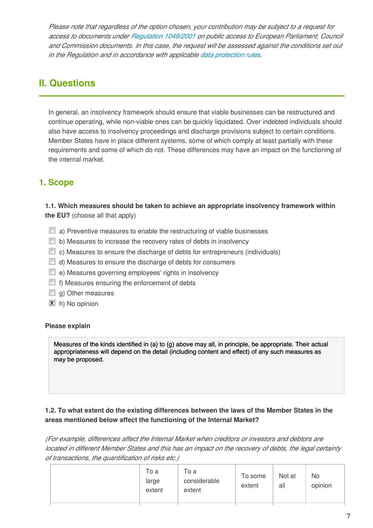Please note that regardless of the option chosen, your contribution may be subject to a request for access to documents under Regulation 1049/2001 on public access to European Parliament, Council and Commission documents. In this case, the request will be assessed against the conditions set out in the Regulation and in accordance with applicable data protection rules.

# II. Questions

In general, an insolvency framework should ensure that viable businesses can be restructured and continue operating, while non-viable ones can be quickly liquidated. Over indebted individuals should also have access to insolvency proceedings and discharge provisions subject to certain conditions. Member States have in place different systems, some of which comply at least partially with these requirements and some of which do not. These differences may have an impact on the functioning of the internal market.

# 1. Scope

1.1. Which measures should be taken to achieve an appropriate insolvency framework within the EU? (choose all that apply)

- $\Box$  a) Preventive measures to enable the restructuring of viable businesses
- $\Box$  b) Measures to increase the recovery rates of debts in insolvency
- $\Box$  c) Measures to ensure the discharge of debts for entrepreneurs (individuals)
- $\Box$  d) Measures to ensure the discharge of debts for consumers
- $\Box$  e) Measures governing employees' rights in insolvency
- $\Box$  f) Measures ensuring the enforcement of debts
- $\Box$  g) Other measures
- **x** h) No opinion

# Please explain

Measures of the kinds identified in (a) to (g) above may all, in principle, be appropriate. Their actual appropriateness will depend on the detail (including content and effect) of any such measures as may be proposed.

# 1.2. To what extent do the existing differences between the laws of the Member States in the areas mentioned below affect the functioning of the Internal Market?

(For example, differences affect the Internal Market when creditors or investors and debtors are located in different Member States and this has an impact on the recovery of debts, the legal certainty of transactions, the quantification of risks etc.)

|--|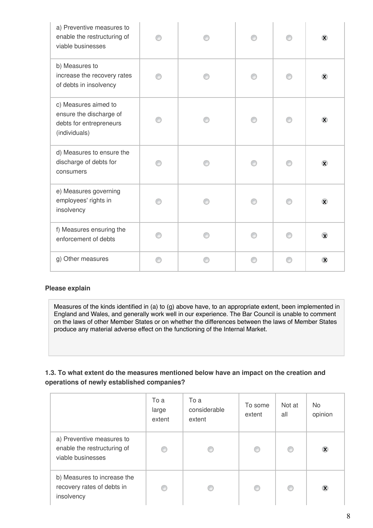| a) Preventive measures to<br>enable the restructuring of<br>viable businesses               |  |  | $\bar{\mathbf{x}}$ |
|---------------------------------------------------------------------------------------------|--|--|--------------------|
| b) Measures to<br>increase the recovery rates<br>of debts in insolvency                     |  |  | $\circledR$        |
| c) Measures aimed to<br>ensure the discharge of<br>debts for entrepreneurs<br>(individuals) |  |  | $\infty$           |
| d) Measures to ensure the<br>discharge of debts for<br>consumers                            |  |  | $\circledcirc$     |
| e) Measures governing<br>employees' rights in<br>insolvency                                 |  |  | $\circledast$      |
| f) Measures ensuring the<br>enforcement of debts                                            |  |  | $\circledast$      |
| g) Other measures                                                                           |  |  | $\infty$           |

# Please explain

Measures of the kinds identified in (a) to (g) above have, to an appropriate extent, been implemented in England and Wales, and generally work well in our experience. The Bar Council is unable to comment on the laws of other Member States or on whether the differences between the laws of Member States produce any material adverse effect on the functioning of the Internal Market.

# 1.3. To what extent do the measures mentioned below have an impact on the creation and operations of newly established companies?

|                                                                               | To a<br>large<br>extent | To a<br>considerable<br>extent | To some<br>extent | Not at<br>all | <b>No</b><br>opinion    |
|-------------------------------------------------------------------------------|-------------------------|--------------------------------|-------------------|---------------|-------------------------|
| a) Preventive measures to<br>enable the restructuring of<br>viable businesses |                         |                                | ◎                 |               | $\infty$                |
| b) Measures to increase the<br>recovery rates of debts in<br>insolvency       |                         |                                | €                 |               | $\mathbf{\overline{X}}$ |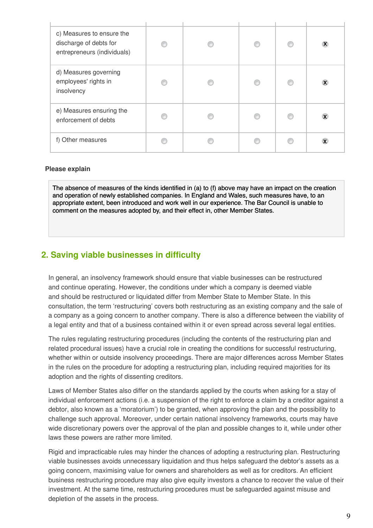| c) Measures to ensure the<br>discharge of debts for<br>entrepreneurs (individuals) |  |  | $\mathbf{X}$            |
|------------------------------------------------------------------------------------|--|--|-------------------------|
| d) Measures governing<br>employees' rights in<br>insolvency                        |  |  | $\bar{\mathbf{x}}$      |
| e) Measures ensuring the<br>enforcement of debts                                   |  |  | $\infty$                |
| f) Other measures                                                                  |  |  | $\mathbf{\overline{X}}$ |

#### Please explain

The absence of measures of the kinds identified in (a) to (f) above may have an impact on the creation and operation of newly established companies. In England and Wales, such measures have, to an appropriate extent, been introduced and work well in our experience. The Bar Council is unable to comment on the measures adopted by, and their effect in, other Member States.

# 2. Saving viable businesses in difficulty

In general, an insolvency framework should ensure that viable businesses can be restructured and continue operating. However, the conditions under which a company is deemed viable and should be restructured or liquidated differ from Member State to Member State. In this consultation, the term 'restructuring' covers both restructuring as an existing company and the sale of a company as a going concern to another company. There is also a difference between the viability of a legal entity and that of a business contained within it or even spread across several legal entities.

The rules regulating restructuring procedures (including the contents of the restructuring plan and related procedural issues) have a crucial role in creating the conditions for successful restructuring, whether within or outside insolvency proceedings. There are major differences across Member States in the rules on the procedure for adopting a restructuring plan, including required majorities for its adoption and the rights of dissenting creditors.

Laws of Member States also differ on the standards applied by the courts when asking for a stay of individual enforcement actions (i.e. a suspension of the right to enforce a claim by a creditor against a debtor, also known as a 'moratorium') to be granted, when approving the plan and the possibility to challenge such approval. Moreover, under certain national insolvency frameworks, courts may have wide discretionary powers over the approval of the plan and possible changes to it, while under other laws these powers are rather more limited.

Rigid and impracticable rules may hinder the chances of adopting a restructuring plan. Restructuring viable businesses avoids unnecessary liquidation and thus helps safeguard the debtor's assets as a going concern, maximising value for owners and shareholders as well as for creditors. An efficient business restructuring procedure may also give equity investors a chance to recover the value of their investment. At the same time, restructuring procedures must be safeguarded against misuse and depletion of the assets in the process.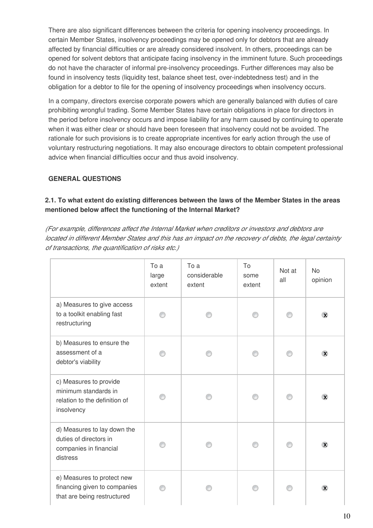There are also significant differences between the criteria for opening insolvency proceedings. In certain Member States, insolvency proceedings may be opened only for debtors that are already affected by financial difficulties or are already considered insolvent. In others, proceedings can be opened for solvent debtors that anticipate facing insolvency in the imminent future. Such proceedings do not have the character of informal pre-insolvency proceedings. Further differences may also be found in insolvency tests (liquidity test, balance sheet test, over-indebtedness test) and in the obligation for a debtor to file for the opening of insolvency proceedings when insolvency occurs.

In a company, directors exercise corporate powers which are generally balanced with duties of care prohibiting wrongful trading. Some Member States have certain obligations in place for directors in the period before insolvency occurs and impose liability for any harm caused by continuing to operate when it was either clear or should have been foreseen that insolvency could not be avoided. The rationale for such provisions is to create appropriate incentives for early action through the use of voluntary restructuring negotiations. It may also encourage directors to obtain competent professional advice when financial difficulties occur and thus avoid insolvency.

# GENERAL QUESTIONS

# 2.1. To what extent do existing differences between the laws of the Member States in the areas mentioned below affect the functioning of the Internal Market?

(For example, differences affect the Internal Market when creditors or investors and debtors are located in different Member States and this has an impact on the recovery of debts, the legal certainty of transactions, the quantification of risks etc.)

|                                                                                               | To a<br>large<br>extent | To a<br>considerable<br>extent | To<br>some<br>extent | Not at<br>all | <b>No</b><br>opinion |
|-----------------------------------------------------------------------------------------------|-------------------------|--------------------------------|----------------------|---------------|----------------------|
| a) Measures to give access<br>to a toolkit enabling fast<br>restructuring                     |                         |                                |                      |               | $\infty$             |
| b) Measures to ensure the<br>assessment of a<br>debtor's viability                            |                         |                                |                      |               | $\infty$             |
| c) Measures to provide<br>minimum standards in<br>relation to the definition of<br>insolvency |                         |                                |                      |               | $\circledast$        |
| d) Measures to lay down the<br>duties of directors in<br>companies in financial<br>distress   |                         |                                |                      |               | $\infty$             |
| e) Measures to protect new<br>financing given to companies<br>that are being restructured     |                         |                                |                      |               | $\mathbf{\nabla}$    |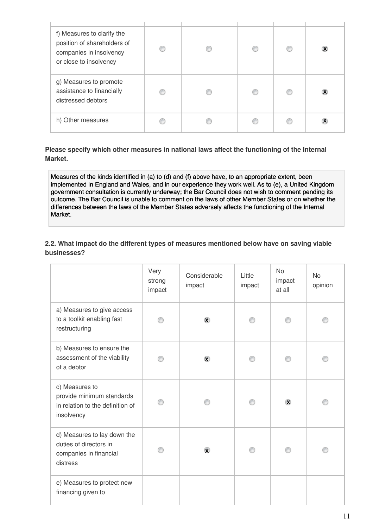| f) Measures to clarify the<br>position of shareholders of<br>companies in insolvency<br>or close to insolvency |   |  | X                       |
|----------------------------------------------------------------------------------------------------------------|---|--|-------------------------|
| g) Measures to promote<br>assistance to financially<br>distressed debtors                                      | C |  | $\overline{\mathbf{X}}$ |
| h) Other measures                                                                                              |   |  |                         |

Please specify which other measures in national laws affect the functioning of the Internal Market.

Measures of the kinds identified in (a) to (d) and (f) above have, to an appropriate extent, been implemented in England and Wales, and in our experience they work well. As to (e), a United Kingdom government consultation is currently underway; the Bar Council does not wish to comment pending its outcome. The Bar Council is unable to comment on the laws of other Member States or on whether the differences between the laws of the Member States adversely affects the functioning of the Internal Market.

2.2. What impact do the different types of measures mentioned below have on saving viable businesses?

|                                                                                               | Very<br>strong<br>impact | Considerable<br>impact | Little<br>impact | <b>No</b><br>impact<br>at all | <b>No</b><br>opinion |
|-----------------------------------------------------------------------------------------------|--------------------------|------------------------|------------------|-------------------------------|----------------------|
| a) Measures to give access<br>to a toolkit enabling fast<br>restructuring                     |                          | $\bar{\mathbf{x}}$     |                  |                               |                      |
| b) Measures to ensure the<br>assessment of the viability<br>of a debtor                       |                          | $\circledast$          |                  |                               |                      |
| c) Measures to<br>provide minimum standards<br>in relation to the definition of<br>insolvency |                          |                        |                  | $\mathbf{\overline{X}}$       |                      |
| d) Measures to lay down the<br>duties of directors in<br>companies in financial<br>distress   |                          | $\mathbf{\widehat{x}}$ |                  |                               |                      |
| e) Measures to protect new<br>financing given to                                              |                          |                        |                  |                               |                      |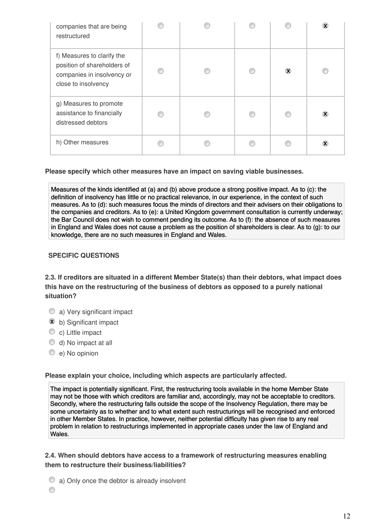| companies that are being<br>restructured                                                                       |  |          | X      |
|----------------------------------------------------------------------------------------------------------------|--|----------|--------|
| f) Measures to clarify the<br>position of shareholders of<br>companies in insolvency or<br>close to insolvency |  | $\infty$ |        |
| g) Measures to promote<br>assistance to financially<br>distressed debtors                                      |  |          | $\chi$ |
| h) Other measures                                                                                              |  |          | X      |

Please specify which other measures have an impact on saving viable businesses.

Measures of the kinds identified at (a) and (b) above produce a strong positive impact. As to (c): the definition of insolvency has little or no practical relevance, in our experience, in the context of such measures. As to (d): such measures focus the minds of directors and their advisers on their obligations to the companies and creditors. As to (e): a United Kingdom government consultation is currently underway; the Bar Council does not wish to comment pending its outcome. As to (f): the absence of such measures in England and Wales does not cause a problem as the position of shareholders is clear. As to (g): to our knowledge, there are no such measures in England and Wales.

# SPECIFIC QUESTIONS

2.3. If creditors are situated in a different Member State(s) than their debtors, what impact does this have on the restructuring of the business of debtors as opposed to a purely national situation?

- a) Very significant impact
- **x** b) Significant impact
- C c) Little impact
- d) No impact at all
- e) No opinion

Please explain your choice, including which aspects are particularly affected.

The impact is potentially significant. First, the restructuring tools available in the home Member State may not be those with which creditors are familiar and, accordingly, may not be acceptable to creditors. Secondly, where the restructuring falls outside the scope of the Insolvency Regulation, there may be some uncertainty as to whether and to what extent such restructurings will be recognised and enforced in other Member States. In practice, however, neither potential difficulty has given rise to any real problem in relation to restructurings implemented in appropriate cases under the law of England and Wales.

# 2.4. When should debtors have access to a framework of restructuring measures enabling them to restructure their business/liabilities?

- a) Only once the debtor is already insolvent
- 0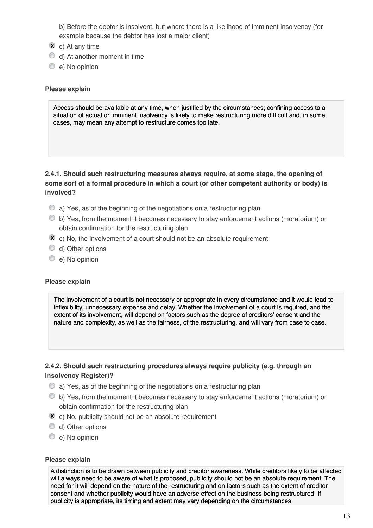b) Before the debtor is insolvent, but where there is a likelihood of imminent insolvency (for example because the debtor has lost a major client)

- $\overline{\mathbf{x}}$  c) At any time
- d) At another moment in time
- e) No opinion

#### Please explain

Access should be available at any time, when justified by the circumstances; confining access to a situation of actual or imminent insolvency is likely to make restructuring more difficult and, in some cases, may mean any attempt to restructure comes too late.

# 2.4.1. Should such restructuring measures always require, at some stage, the opening of some sort of a formal procedure in which a court (or other competent authority or body) is involved?

- a) Yes, as of the beginning of the negotiations on a restructuring plan
- b) Yes, from the moment it becomes necessary to stay enforcement actions (moratorium) or obtain confirmation for the restructuring plan
- $\hat{x}$  c) No, the involvement of a court should not be an absolute requirement
- d) Other options
- e) No opinion

#### Please explain

The involvement of a court is not necessary or appropriate in every circumstance and it would lead to inflexibility, unnecessary expense and delay. Whether the involvement of a court is required, and the extent of its involvement, will depend on factors such as the degree of creditors' consent and the nature and complexity, as well as the fairness, of the restructuring, and will vary from case to case.

# 2.4.2. Should such restructuring procedures always require publicity (e.g. through an Insolvency Register)?

- a) Yes, as of the beginning of the negotiations on a restructuring plan
- b) Yes, from the moment it becomes necessary to stay enforcement actions (moratorium) or obtain confirmation for the restructuring plan
- $\bar{x}$  c) No, publicity should not be an absolute requirement
- d) Other options
- e) No opinion

#### Please explain

A distinction is to be drawn between publicity and creditor awareness. While creditors likely to be affected will always need to be aware of what is proposed, publicity should not be an absolute requirement. The need for it will depend on the nature of the restructuring and on factors such as the extent of creditor consent and whether publicity would have an adverse effect on the business being restructured. If publicity is appropriate, its timing and extent may vary depending on the circumstances.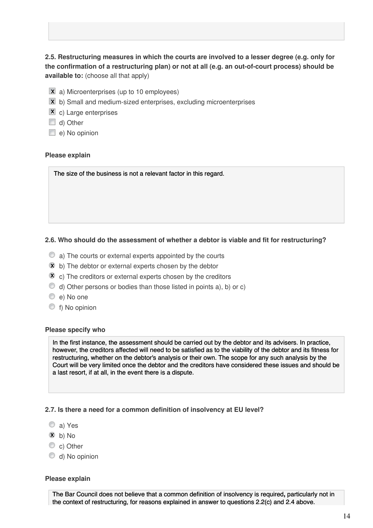# 2.5. Restructuring measures in which the courts are involved to a lesser degree (e.g. only for the confirmation of a restructuring plan) or not at all (e.g. an out-of-court process) should be available to: (choose all that apply)

- $\overline{\mathbf{x}}$  a) Microenterprises (up to 10 employees)
- $\bar{x}$  b) Small and medium-sized enterprises, excluding microenterprises
- **X** c) Large enterprises
- d) Other
- $\Box$  e) No opinion

#### Please explain

The size of the business is not a relevant factor in this regard.

#### 2.6. Who should do the assessment of whether a debtor is viable and fit for restructuring?

- a) The courts or external experts appointed by the courts
- $\hat{x}$  b) The debtor or external experts chosen by the debtor
- $\bar{x}$  c) The creditors or external experts chosen by the creditors
- $\bullet$  d) Other persons or bodies than those listed in points a), b) or c)
- e) No one
- f) No opinion

#### Please specify who

In the first instance, the assessment should be carried out by the debtor and its advisers. In practice, however, the creditors affected will need to be satisfied as to the viability of the debtor and its fitness for restructuring, whether on the debtor's analysis or their own. The scope for any such analysis by the Court will be very limited once the debtor and the creditors have considered these issues and should be a last resort, if at all, in the event there is a dispute.

#### 2.7. Is there a need for a common definition of insolvency at EU level?

- a) Yes
- $\bar{x}$  b) No
- C c) Other
- d) No opinion

#### Please explain

The Bar Council does not believe that a common definition of insolvency is required**,** particularly not in the context of restructuring, for reasons explained in answer to questions 2.2(c) and 2.4 above.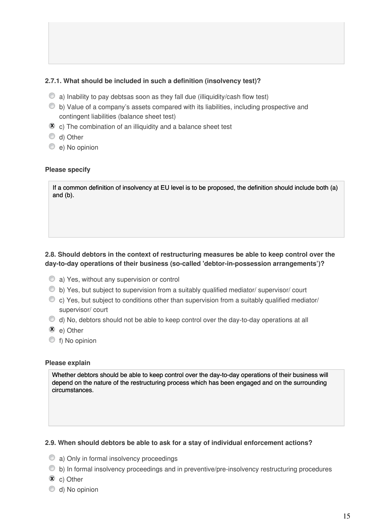# 2.7.1. What should be included in such a definition (insolvency test)?

- $\bullet$  a) Inability to pay debtsas soon as they fall due (illiquidity/cash flow test)
- b) Value of a company's assets compared with its liabilities, including prospective and contingent liabilities (balance sheet test)
- $\bar{x}$  c) The combination of an illiquidity and a balance sheet test
- d) Other
- e) No opinion

#### Please specify

If a common definition of insolvency at EU level is to be proposed, the definition should include both (a) and (b).

# 2.8. Should debtors in the context of restructuring measures be able to keep control over the day-to-day operations of their business (so-called 'debtor-in-possession arrangements')?

- a) Yes, without any supervision or control
- b) Yes, but subject to supervision from a suitably qualified mediator/ supervisor/ court
- $\bullet$  c) Yes, but subject to conditions other than supervision from a suitably qualified mediator/ supervisor/ court
- $\bullet$  d) No, debtors should not be able to keep control over the day-to-day operations at all
- $\bar{x}$  e) Other
- f) No opinion

#### Please explain

Whether debtors should be able to keep control over the day-to-day operations of their business will depend on the nature of the restructuring process which has been engaged and on the surrounding circumstances.

#### 2.9. When should debtors be able to ask for a stay of individual enforcement actions?

- a) Only in formal insolvency proceedings
- b) In formal insolvency proceedings and in preventive/pre-insolvency restructuring procedures
- $\bar{x}$  c) Other
- d) No opinion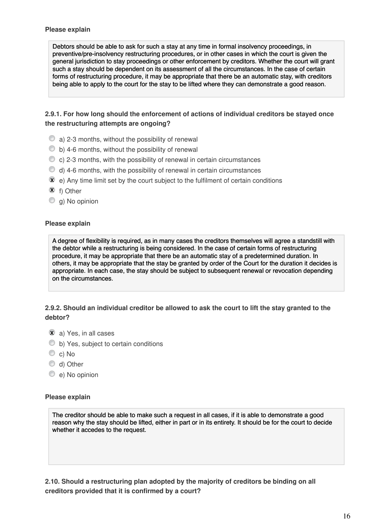Debtors should be able to ask for such a stay at any time in formal insolvency proceedings, in preventive/pre-insolvency restructuring procedures, or in other cases in which the court is given the general jurisdiction to stay proceedings or other enforcement by creditors. Whether the court will grant such a stay should be dependent on its assessment of all the circumstances. In the case of certain forms of restructuring procedure, it may be appropriate that there be an automatic stay, with creditors being able to apply to the court for the stay to be lifted where they can demonstrate a good reason.

# 2.9.1. For how long should the enforcement of actions of individual creditors be stayed once the restructuring attempts are ongoing?

- $\bullet$  a) 2-3 months, without the possibility of renewal
- $\bullet$  b) 4-6 months, without the possibility of renewal
- $\bullet$  c) 2-3 months, with the possibility of renewal in certain circumstances
- $\bullet$  d) 4-6 months, with the possibility of renewal in certain circumstances
- $\mathbf{\hat{x}}$  e) Any time limit set by the court subject to the fulfilment of certain conditions
- $\bar{x}$  f) Other
- g) No opinion

#### Please explain

A degree of flexibility is required, as in many cases the creditors themselves will agree a standstill with the debtor while a restructuring is being considered. In the case of certain forms of restructuring procedure, it may be appropriate that there be an automatic stay of a predetermined duration. In others, it may be appropriate that the stay be granted by order of the Court for the duration it decides is appropriate. In each case, the stay should be subject to subsequent renewal or revocation depending on the circumstances.

# 2.9.2. Should an individual creditor be allowed to ask the court to lift the stay granted to the debtor?

- $\bar{x}$  a) Yes, in all cases
- $\bullet$  b) Yes, subject to certain conditions
- C c) No
- d) Other
- e) No opinion

#### Please explain

The creditor should be able to make such a request in all cases, if it is able to demonstrate a good reason why the stay should be lifted, either in part or in its entirety. It should be for the court to decide whether it accedes to the request.

2.10. Should a restructuring plan adopted by the majority of creditors be binding on all creditors provided that it is confirmed by a court?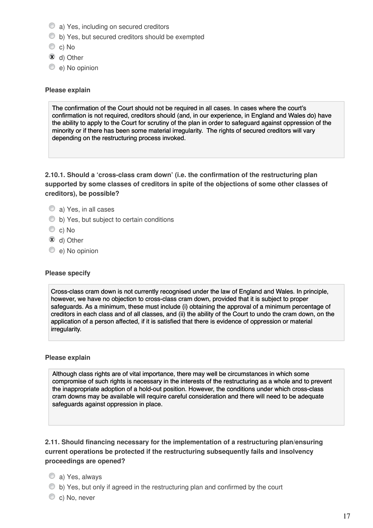- a) Yes, including on secured creditors
- b) Yes, but secured creditors should be exempted
- C c) No
- $\bar{x}$  d) Other
- e) No opinion

#### Please explain

The confirmation of the Court should not be required in all cases. In cases where the court's confirmation is not required, creditors should (and, in our experience, in England and Wales do) have the ability to apply to the Court for scrutiny of the plan in order to safeguard against oppression of the minority or if there has been some material irregularity. The rights of secured creditors will vary depending on the restructuring process invoked.

2.10.1. Should a 'cross-class cram down' (i.e. the confirmation of the restructuring plan supported by some classes of creditors in spite of the objections of some other classes of creditors), be possible?

# a) Yes, in all cases

- b) Yes, but subject to certain conditions
- C c) No
- $\bar{x}$  d) Other
- e) No opinion

# Please specify

Cross-class cram down is not currently recognised under the law of England and Wales. In principle, however, we have no objection to cross-class cram down, provided that it is subject to proper safeguards. As a minimum, these must include (i) obtaining the approval of a minimum percentage of creditors in each class and of all classes, and (ii) the ability of the Court to undo the cram down, on the application of a person affected, if it is satisfied that there is evidence of oppression or material irregularity.

#### Please explain

Although class rights are of vital importance, there may well be circumstances in which some compromise of such rights is necessary in the interests of the restructuring as a whole and to prevent the inappropriate adoption of a hold-out position. However, the conditions under which cross-class cram downs may be available will require careful consideration and there will need to be adequate safeguards against oppression in place.

2.11. Should financing necessary for the implementation of a restructuring plan/ensuring current operations be protected if the restructuring subsequently fails and insolvency proceedings are opened?

- a) Yes, always
- b) Yes, but only if agreed in the restructuring plan and confirmed by the court
- C c) No, never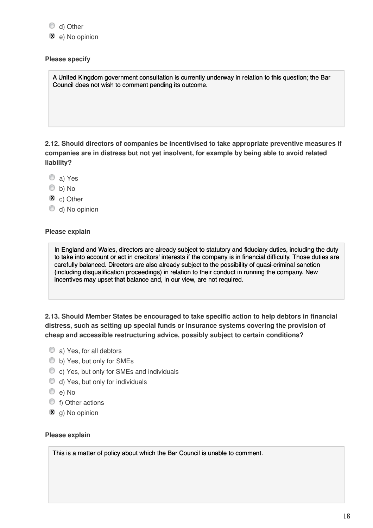d) Other

**x** e) No opinion

#### Please specify

A United Kingdom government consultation is currently underway in relation to this question; the Bar Council does not wish to comment pending its outcome.

2.12. Should directors of companies be incentivised to take appropriate preventive measures if companies are in distress but not yet insolvent, for example by being able to avoid related liability?

- a) Yes
- b) No
- $\overline{\mathbf{x}}$  c) Other
- d) No opinion

#### Please explain

In England and Wales, directors are already subject to statutory and fiduciary duties, including the duty to take into account or act in creditors' interests if the company is in financial difficulty. Those duties are carefully balanced. Directors are also already subject to the possibility of quasi-criminal sanction (including disqualification proceedings) in relation to their conduct in running the company. New incentives may upset that balance and, in our view, are not required.

2.13. Should Member States be encouraged to take specific action to help debtors in financial distress, such as setting up special funds or insurance systems covering the provision of cheap and accessible restructuring advice, possibly subject to certain conditions?

- a) Yes, for all debtors
- b) Yes, but only for SMEs
- c) Yes, but only for SMEs and individuals
- d) Yes, but only for individuals
- e) No
- **t**) Other actions
- **x** g) No opinion

#### Please explain

This is a matter of policy about which the Bar Council is unable to comment.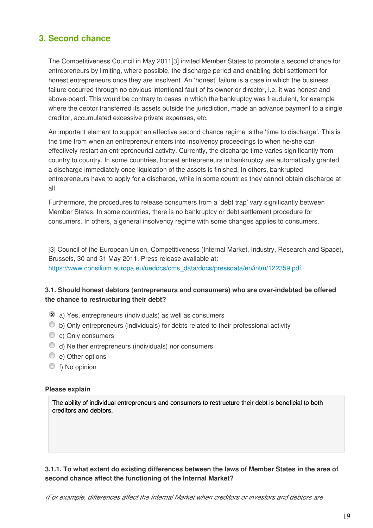# 3. Second chance

The Competitiveness Council in May 2011[3] invited Member States to promote a second chance for entrepreneurs by limiting, where possible, the discharge period and enabling debt settlement for honest entrepreneurs once they are insolvent. An 'honest' failure is a case in which the business failure occurred through no obvious intentional fault of its owner or director, i.e. it was honest and above-board. This would be contrary to cases in which the bankruptcy was fraudulent, for example where the debtor transferred its assets outside the jurisdiction, made an advance payment to a single creditor, accumulated excessive private expenses, etc.

An important element to support an effective second chance regime is the 'time to discharge'. This is the time from when an entrepreneur enters into insolvency proceedings to when he/she can effectively restart an entrepreneurial activity. Currently, the discharge time varies significantly from country to country. In some countries, honest entrepreneurs in bankruptcy are automatically granted a discharge immediately once liquidation of the assets is finished. In others, bankrupted entrepreneurs have to apply for a discharge, while in some countries they cannot obtain discharge at all.

Furthermore, the procedures to release consumers from a 'debt trap' vary significantly between Member States. In some countries, there is no bankruptcy or debt settlement procedure for consumers. In others, a general insolvency regime with some changes applies to consumers.

[3] Council of the European Union, Competitiveness (Internal Market, Industry, Research and Space), Brussels, 30 and 31 May 2011. Press release available at: https://www.consilium.europa.eu/uedocs/cms\_data/docs/pressdata/en/intm/122359.pdf.

# 3.1. Should honest debtors (entrepreneurs and consumers) who are over-indebted be offered the chance to restructuring their debt?

- $\hat{x}$  a) Yes, entrepreneurs (individuals) as well as consumers
- $\bullet$  b) Only entrepreneurs (individuals) for debts related to their professional activity
- C c) Only consumers
- d) Neither entrepreneurs (individuals) nor consumers
- e) Other options
- f) No opinion

#### Please explain

The ability of individual entrepreneurs and consumers to restructure their debt is beneficial to both creditors and debtors.

# 3.1.1. To what extent do existing differences between the laws of Member States in the area of second chance affect the functioning of the Internal Market?

(For example, differences affect the Internal Market when creditors or investors and debtors are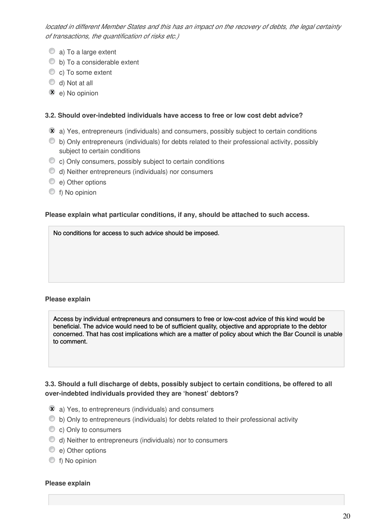located in different Member States and this has an impact on the recovery of debts, the legal certainty of transactions, the quantification of risks etc.)

- C a) To a large extent
- b) To a considerable extent
- C c) To some extent
- d) Not at all
- **X** e) No opinion

# 3.2. Should over-indebted individuals have access to free or low cost debt advice?

- $\mathbf{\hat{x}}$  a) Yes, entrepreneurs (individuals) and consumers, possibly subject to certain conditions
- $\bullet$  b) Only entrepreneurs (individuals) for debts related to their professional activity, possibly subject to certain conditions
- c) Only consumers, possibly subject to certain conditions
- d) Neither entrepreneurs (individuals) nor consumers
- e) Other options
- f) No opinion

# Please explain what particular conditions, if any, should be attached to such access.

No conditions for access to such advice should be imposed.

# Please explain

Access by individual entrepreneurs and consumers to free or low-cost advice of this kind would be beneficial. The advice would need to be of sufficient quality, objective and appropriate to the debtor concerned. That has cost implications which are a matter of policy about which the Bar Council is unable to comment.

# 3.3. Should a full discharge of debts, possibly subject to certain conditions, be offered to all over-indebted individuals provided they are 'honest' debtors?

- $\hat{x}$  a) Yes, to entrepreneurs (individuals) and consumers
- b) Only to entrepreneurs (individuals) for debts related to their professional activity
- C c) Only to consumers
- d) Neither to entrepreneurs (individuals) nor to consumers
- e) Other options
- f) No opinion

#### Please explain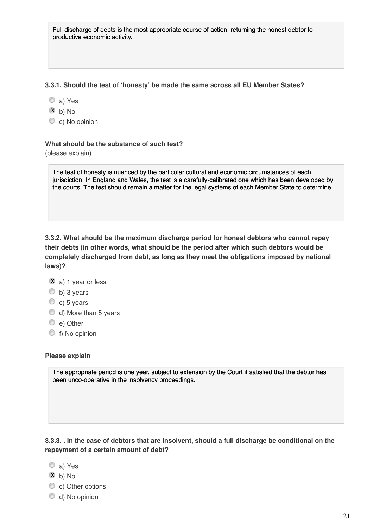Full discharge of debts is the most appropriate course of action, returning the honest debtor to productive economic activity.

#### 3.3.1. Should the test of 'honesty' be made the same across all EU Member States?

- a) Yes
- **x** b) No
- C c) No opinion

#### What should be the substance of such test?

(please explain)

The test of honesty is nuanced by the particular cultural and economic circumstances of each jurisdiction. In England and Wales, the test is a carefully-calibrated one which has been developed by the courts. The test should remain a matter for the legal systems of each Member State to determine.

3.3.2. What should be the maximum discharge period for honest debtors who cannot repay their debts (in other words, what should be the period after which such debtors would be completely discharged from debt, as long as they meet the obligations imposed by national laws)?

- $\bar{x}$  a) 1 year or less
- $\circledcirc$  b) 3 years
- $\circ$  c) 5 years
- d) More than 5 years
- $\circledcirc$  e) Other
- f) No opinion

Please explain

The appropriate period is one year, subject to extension by the Court if satisfied that the debtor has been unco-operative in the insolvency proceedings.

3.3.3. . In the case of debtors that are insolvent, should a full discharge be conditional on the repayment of a certain amount of debt?

- a) Yes
- **x** b) No
- C c) Other options
- d) No opinion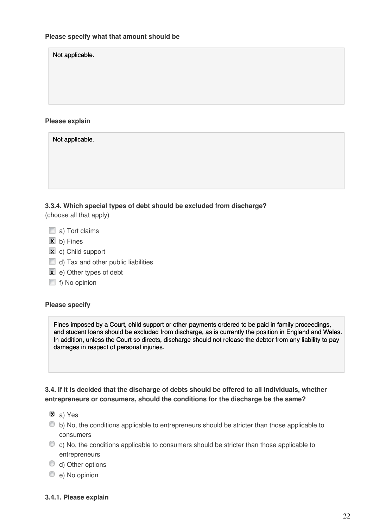Not applicable.

#### Please explain

Not applicable.

| 3.3.4. Which special types of debt should be excluded from discharge? |  |
|-----------------------------------------------------------------------|--|

(choose all that apply)

- $\Box$  a) Tort claims
- $\overline{\mathbf{x}}$  b) Fines
- **x** c) Child support
- $\Box$  d) Tax and other public liabilities
- **x** e) Other types of debt
- $\Box$  f) No opinion

#### Please specify

Fines imposed by a Court, child support or other payments ordered to be paid in family proceedings, and student loans should be excluded from discharge, as is currently the position in England and Wales. In addition, unless the Court so directs, discharge should not release the debtor from any liability to pay damages in respect of personal injuries.

# 3.4. If it is decided that the discharge of debts should be offered to all individuals, whether entrepreneurs or consumers, should the conditions for the discharge be the same?

- **x** a) Yes
- b) No, the conditions applicable to entrepreneurs should be stricter than those applicable to consumers
- $\circ$  c) No, the conditions applicable to consumers should be stricter than those applicable to entrepreneurs
- d) Other options
- e) No opinion

#### 3.4.1. Please explain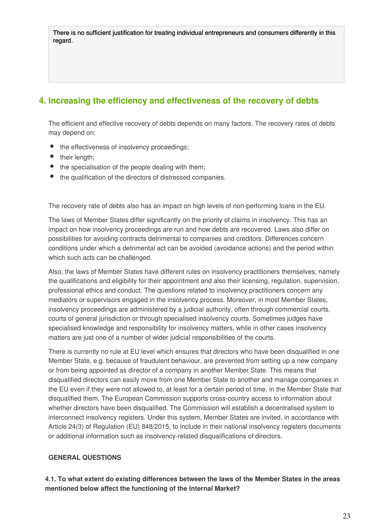There is no sufficient justification for treating individual entrepreneurs and consumers differently in this regard.

# 4. Increasing the efficiency and effectiveness of the recovery of debts

The efficient and effective recovery of debts depends on many factors. The recovery rates of debts may depend on:

- the effectiveness of insolvency proceedings;
- their length:
- the specialisation of the people dealing with them;
- $\bullet$  the qualification of the directors of distressed companies.

The recovery rate of debts also has an impact on high levels of non-performing loans in the EU.

The laws of Member States differ significantly on the priority of claims in insolvency. This has an impact on how insolvency proceedings are run and how debts are recovered. Laws also differ on possibilities for avoiding contracts detrimental to companies and creditors. Differences concern conditions under which a detrimental act can be avoided (avoidance actions) and the period within which such acts can be challenged.

Also, the laws of Member States have different rules on insolvency practitioners themselves, namely the qualifications and eligibility for their appointment and also their licensing, regulation, supervision, professional ethics and conduct. The questions related to insolvency practitioners concern any mediators or supervisors engaged in the insolvency process. Moreover, in most Member States, insolvency proceedings are administered by a judicial authority, often through commercial courts, courts of general jurisdiction or through specialised insolvency courts. Sometimes judges have specialised knowledge and responsibility for insolvency matters, while in other cases insolvency matters are just one of a number of wider judicial responsibilities of the courts.

There is currently no rule at EU level which ensures that directors who have been disqualified in one Member State, e.g. because of fraudulent behaviour, are prevented from setting up a new company or from being appointed as director of a company in another Member State. This means that disqualified directors can easily move from one Member State to another and manage companies in the EU even if they were not allowed to, at least for a certain period of time, in the Member State that disqualified them. The European Commission supports cross-country access to information about whether directors have been disqualified. The Commission will establish a decentralised system to interconnect insolvency registers. Under this system, Member States are invited, in accordance with Article 24(3) of Regulation (EU) 848/2015, to include in their national insolvency registers documents or additional information such as insolvency-related disqualifications of directors.

# GENERAL QUESTIONS

4.1. To what extent do existing differences between the laws of the Member States in the areas mentioned below affect the functioning of the Internal Market?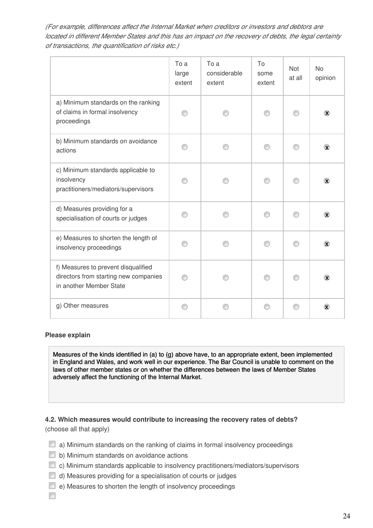(For example, differences affect the Internal Market when creditors or investors and debtors are located in different Member States and this has an impact on the recovery of debts, the legal certainty of transactions, the quantification of risks etc.)

|                                                                                                         | To a<br>large<br>extent | To a<br>considerable<br>extent | To<br>some<br>extent | <b>Not</b><br>at all | <b>No</b><br>opinion   |
|---------------------------------------------------------------------------------------------------------|-------------------------|--------------------------------|----------------------|----------------------|------------------------|
| a) Minimum standards on the ranking<br>of claims in formal insolvency<br>proceedings                    |                         |                                |                      |                      | $\infty$               |
| b) Minimum standards on avoidance<br>actions                                                            |                         |                                |                      |                      | $\bar{\mathbf{x}}$     |
| c) Minimum standards applicable to<br>insolvency<br>practitioners/mediators/supervisors                 |                         |                                |                      |                      | $\mathbf{\widehat{x}}$ |
| d) Measures providing for a<br>specialisation of courts or judges                                       |                         |                                |                      |                      | $\mathbf{\nabla}$      |
| e) Measures to shorten the length of<br>insolvency proceedings                                          |                         |                                |                      |                      | $\circledast$          |
| f) Measures to prevent disqualified<br>directors from starting new companies<br>in another Member State |                         |                                |                      |                      | $\chi$                 |
| g) Other measures                                                                                       |                         |                                |                      |                      | $\mathbf{\widehat{x}}$ |

Please explain

Measures of the kinds identified in (a) to (g) above have, to an appropriate extent, been implemented in England and Wales, and work well in our experience. The Bar Council is unable to comment on the laws of other member states or on whether the differences between the laws of Member States adversely affect the functioning of the Internal Market.

4.2. Which measures would contribute to increasing the recovery rates of debts? (choose all that apply)

- $\Box$  a) Minimum standards on the ranking of claims in formal insolvency proceedings
- $\Box$  b) Minimum standards on avoidance actions
- $\Box$  c) Minimum standards applicable to insolvency practitioners/mediators/supervisors
- $\Box$  d) Measures providing for a specialisation of courts or judges
- $\Box$  e) Measures to shorten the length of insolvency proceedings

 $\overline{\phantom{a}}$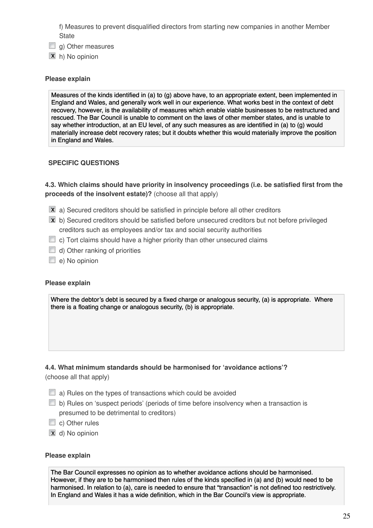f) Measures to prevent disqualified directors from starting new companies in another Member **State** 

- $\Box$  g) Other measures
- **x** h) No opinion

### Please explain

Measures of the kinds identified in (a) to (g) above have, to an appropriate extent, been implemented in England and Wales, and generally work well in our experience. What works best in the context of debt recovery, however, is the availability of measures which enable viable businesses to be restructured and rescued. The Bar Council is unable to comment on the laws of other member states, and is unable to say whether introduction, at an EU level, of any such measures as are identified in (a) to (g) would materially increase debt recovery rates; but it doubts whether this would materially improve the position in England and Wales.

# SPECIFIC QUESTIONS

4.3. Which claims should have priority in insolvency proceedings (i.e. be satisfied first from the proceeds of the insolvent estate)? (choose all that apply)

- $\bar{x}$  a) Secured creditors should be satisfied in principle before all other creditors
- $\bar{x}$  b) Secured creditors should be satisfied before unsecured creditors but not before privileged creditors such as employees and/or tax and social security authorities
- $\Box$  c) Tort claims should have a higher priority than other unsecured claims
- $\Box$  d) Other ranking of priorities
- e) No opinion

#### Please explain

Where the debtor's debt is secured by a fixed charge or analogous security, (a) is appropriate. Where there is a floating change or analogous security, (b) is appropriate.

# 4.4. What minimum standards should be harmonised for 'avoidance actions'? (choose all that apply)

- $\Box$  a) Rules on the types of transactions which could be avoided
- $\Box$  b) Rules on 'suspect periods' (periods of time before insolvency when a transaction is presumed to be detrimental to creditors)
- c) Other rules
- **x** d) No opinion

#### Please explain

The Bar Council expresses no opinion as to whether avoidance actions should be harmonised. However, if they are to be harmonised then rules of the kinds specified in (a) and (b) would need to be harmonised. In relation to (a), care is needed to ensure that "transaction" is not defined too restrictively. In England and Wales it has a wide definition, which in the Bar Council's view is appropriate.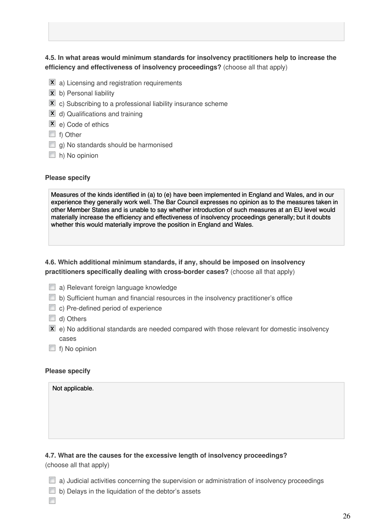# 4.5. In what areas would minimum standards for insolvency practitioners help to increase the efficiency and effectiveness of insolvency proceedings? (choose all that apply)

- $\overline{\mathbf{x}}$  a) Licensing and registration requirements
- **x** b) Personal liability
- $\bar{x}$  c) Subscribing to a professional liability insurance scheme
- **x** d) Qualifications and training
- **X** e) Code of ethics
- f) Other
- $\Box$  g) No standards should be harmonised
- $\Box$  h) No opinion

#### Please specify

Measures of the kinds identified in (a) to (e) have been implemented in England and Wales, and in our experience they generally work well. The Bar Council expresses no opinion as to the measures taken in other Member States and is unable to say whether introduction of such measures at an EU level would materially increase the efficiency and effectiveness of insolvency proceedings generally; but it doubts whether this would materially improve the position in England and Wales.

4.6. Which additional minimum standards, if any, should be imposed on insolvency practitioners specifically dealing with cross-border cases? (choose all that apply)

- **a**) Relevant foreign language knowledge
- $\Box$  b) Sufficient human and financial resources in the insolvency practitioner's office
- c) Pre-defined period of experience
- d) Others
- $\bar{x}$  e) No additional standards are needed compared with those relevant for domestic insolvency cases
- $\Box$  f) No opinion

#### Please specify

#### Not applicable.

# 4.7. What are the causes for the excessive length of insolvency proceedings?

(choose all that apply)

- $\Box$  a) Judicial activities concerning the supervision or administration of insolvency proceedings
- $\Box$  b) Delays in the liquidation of the debtor's assets
- $\overline{\phantom{a}}$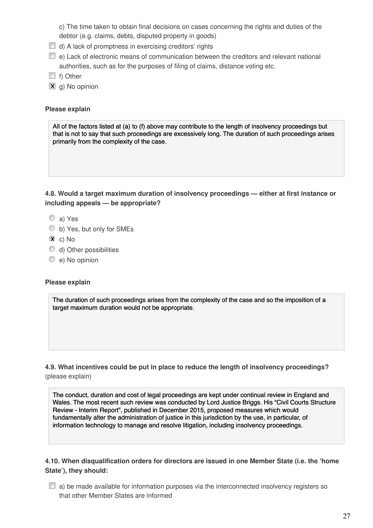c) The time taken to obtain final decisions on cases concerning the rights and duties of the debtor (e.g. claims, debts, disputed property in goods)

- $\Box$  d) A lack of promptness in exercising creditors' rights
- $\Box$  e) Lack of electronic means of communication between the creditors and relevant national authorities, such as for the purposes of filing of claims, distance voting etc.
- $\Box$  f) Other
- **x** g) No opinion

# Please explain

All of the factors listed at (a) to (f) above may contribute to the length of insolvency proceedings but that is not to say that such proceedings are excessively long. The duration of such proceedings arises primarily from the complexity of the case.

4.8. Would a target maximum duration of insolvency proceedings — either at first instance or including appeals — be appropriate?

- a) Yes
- b) Yes, but only for SMEs
- $\overline{\mathbf{x}}$  c) No
- d) Other possibilities
- e) No opinion

# Please explain

The duration of such proceedings arises from the complexity of the case and so the imposition of a target maximum duration would not be appropriate.

4.9. What incentives could be put in place to reduce the length of insolvency proceedings? (please explain)

The conduct, duration and cost of legal proceedings are kept under continual review in England and Wales. The most recent such review was conducted by Lord Justice Briggs. His "Civil Courts Structure Review - Interim Report", published in December 2015, proposed measures which would fundamentally alter the administration of justice in this jurisdiction by the use, in particular, of information technology to manage and resolve litigation, including insolvency proceedings.

4.10. When disqualification orders for directors are issued in one Member State (i.e. the 'home State'), they should:

 $\Box$  a) be made available for information purposes via the interconnected insolvency registers so that other Member States are informed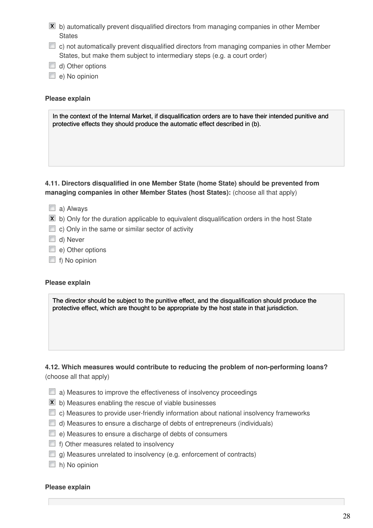- $\bar{x}$  b) automatically prevent disqualified directors from managing companies in other Member **States**
- $\Box$  c) not automatically prevent disqualified directors from managing companies in other Member States, but make them subject to intermediary steps (e.g. a court order)
- $\Box$  d) Other options
- $\Box$  e) No opinion

### Please explain

In the context of the Internal Market, if disqualification orders are to have their intended punitive and protective effects they should produce the automatic effect described in (b).

# 4.11. Directors disqualified in one Member State (home State) should be prevented from managing companies in other Member States (host States): (choose all that apply)

- a) Always
- $\bar{x}$  b) Only for the duration applicable to equivalent disqualification orders in the host State
- $\Box$  c) Only in the same or similar sector of activity
- d) Never
- e) Other options
- $\Box$  f) No opinion

#### Please explain

The director should be subject to the punitive effect, and the disqualification should produce the protective effect, which are thought to be appropriate by the host state in that jurisdiction.

# 4.12. Which measures would contribute to reducing the problem of non-performing loans? (choose all that apply)

- $\Box$  a) Measures to improve the effectiveness of insolvency proceedings
- $\overline{\mathbf{x}}$  b) Measures enabling the rescue of viable businesses
- $\Box$  c) Measures to provide user-friendly information about national insolvency frameworks
- $\Box$  d) Measures to ensure a discharge of debts of entrepreneurs (individuals)
- e) Measures to ensure a discharge of debts of consumers
- $\Box$  f) Other measures related to insolvency
- $\Box$  g) Measures unrelated to insolvency (e.g. enforcement of contracts)
- $\Box$  h) No opinion

#### Please explain